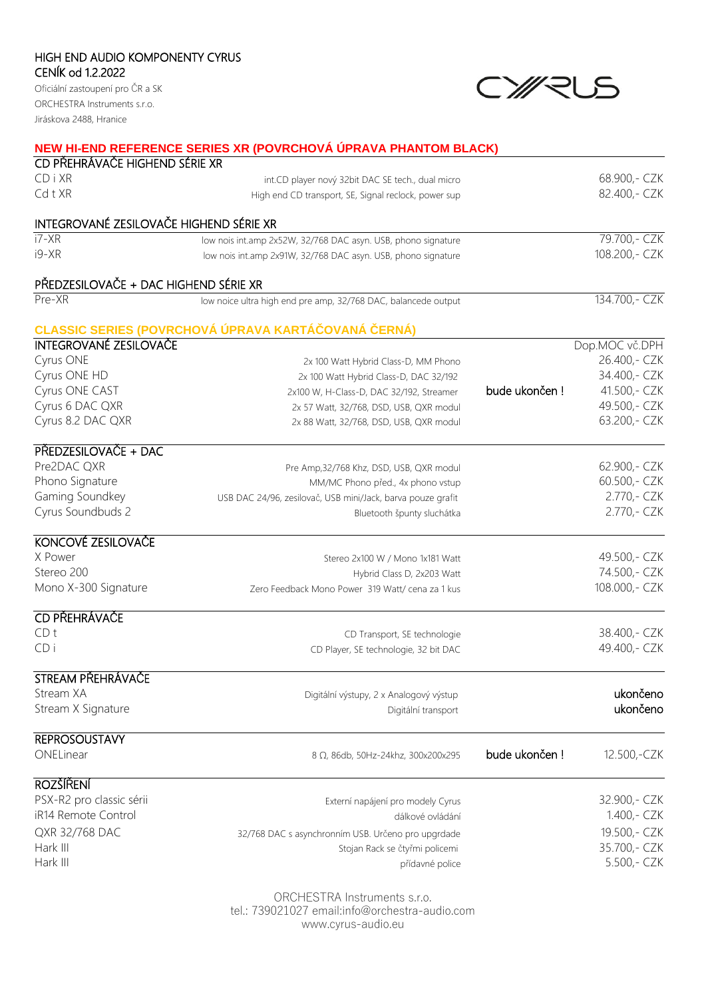## HIGH END AUDIO KOMPONENTY CYRUS CENÍK od 1.2.2022

Oficiální zastoupení pro ČR a SK ORCHESTRA Instruments s.r.o. Jiráskova 2488, Hranice

## CY/RUS

|                                         | NEW HI-END REFERENCE SERIES XR (POVRCHOVÁ ÚPRAVA PHANTOM BLACK) |               |                |
|-----------------------------------------|-----------------------------------------------------------------|---------------|----------------|
| CD PŘEHRÁVAČE HIGHEND SÉRIE XR          |                                                                 |               |                |
| CDiXR                                   | int.CD player nový 32bit DAC SE tech., dual micro               |               | 68.900, - CZK  |
| CdtXR                                   | High end CD transport, SE, Signal reclock, power sup            |               | 82.400, - CZK  |
| INTEGROVANÉ ZESILOVAČE HIGHEND SÉRIE XR |                                                                 |               |                |
| $i7-XR$                                 | low nois int.amp 2x52W, 32/768 DAC asyn. USB, phono signature   |               | 79.700, - CZK  |
| $i9-XR$                                 | low nois int.amp 2x91W, 32/768 DAC asyn. USB, phono signature   |               | 108.200, - CZK |
| PŘEDZESILOVAČE + DAC HIGHEND SÉRIE XR   |                                                                 |               |                |
| Pre-XR                                  | low noice ultra high end pre amp, 32/768 DAC, balancede output  |               | 134.700,- CZK  |
|                                         | CLASSIC SERIES (POVRCHOVÁ ÚPRAVA KARTÁČOVANÁ ČERNÁ)             |               |                |
| <b>INTEGROVANÉ ZESILOVAČE</b>           |                                                                 |               | Dop.MOC vč.DPH |
| Cyrus ONE                               | 2x 100 Watt Hybrid Class-D, MM Phono                            |               | 26.400,- CZK   |
| Cyrus ONE HD                            | 2x 100 Watt Hybrid Class-D, DAC 32/192                          |               | 34.400, - CZK  |
| Cyrus ONE CAST                          | 2x100 W, H-Class-D, DAC 32/192, Streamer                        | bude ukončen! | 41.500, - CZK  |
| Cyrus 6 DAC QXR                         | 2x 57 Watt, 32/768, DSD, USB, QXR modul                         |               | 49.500, - CZK  |
| Cyrus 8.2 DAC QXR                       | 2x 88 Watt, 32/768, DSD, USB, QXR modul                         |               | 63.200, - CZK  |
| PŘEDZESILOVAČE + DAC                    |                                                                 |               |                |
| Pre2DAC QXR                             | Pre Amp, 32/768 Khz, DSD, USB, QXR modul                        |               | 62.900, - CZK  |
| Phono Signature                         | MM/MC Phono před., 4x phono vstup                               |               | 60.500, - CZK  |
| Gaming Soundkey                         | USB DAC 24/96, zesilovač, USB mini/Jack, barva pouze grafit     |               | 2.770, - CZK   |
| Cyrus Soundbuds 2                       | Bluetooth špunty sluchátka                                      |               | 2.770,- CZK    |
| KONCOVÉ ZESILOVAČE                      |                                                                 |               |                |
| X Power                                 | Stereo 2x100 W / Mono 1x181 Watt                                |               | 49.500, - CZK  |
| Stereo 200                              | Hybrid Class D, 2x203 Watt                                      |               | 74.500, - CZK  |
| Mono X-300 Signature                    | Zero Feedback Mono Power 319 Watt/ cena za 1 kus                |               | 108.000,- CZK  |
| CD PŘEHRÁVAČE                           |                                                                 |               |                |
| CD <sub>t</sub>                         | CD Transport, SE technologie                                    |               | 38.400, - CZK  |
| CDi                                     | CD Player, SE technologie, 32 bit DAC                           |               | 49.400, - CZK  |
| STREAM PŘEHRÁVAČE                       |                                                                 |               |                |
| Stream XA                               | Digitální výstupy, 2 x Analogový výstup                         |               | ukončeno       |
| Stream X Signature                      | Digitální transport                                             |               | ukončeno       |
| <b>REPROSOUSTAVY</b>                    |                                                                 |               |                |
| ONELinear                               | 8 Ω, 86db, 50Hz-24khz, 300x200x295                              | bude ukončen! | 12.500,-CZK    |
| <b>ROZŠÍŘENÍ</b>                        |                                                                 |               |                |
| PSX-R2 pro classic sérii                | Externí napájení pro modely Cyrus                               |               | 32.900, - CZK  |
| iR14 Remote Control                     | dálkové ovládání                                                |               | 1.400, - CZK   |
| QXR 32/768 DAC                          | 32/768 DAC s asynchronním USB. Určeno pro upgrdade              |               | 19.500, - CZK  |
| Hark III                                | Stojan Rack se čtyřmi policemi                                  |               | 35.700, - CZK  |
| Hark III                                | přídavné police                                                 |               | 5.500, - CZK   |
|                                         |                                                                 |               |                |

ORCHESTRA Instruments s.r.o. tel.: 739021027 email:info@orchestra-audio.com www.cyrus-audio.eu